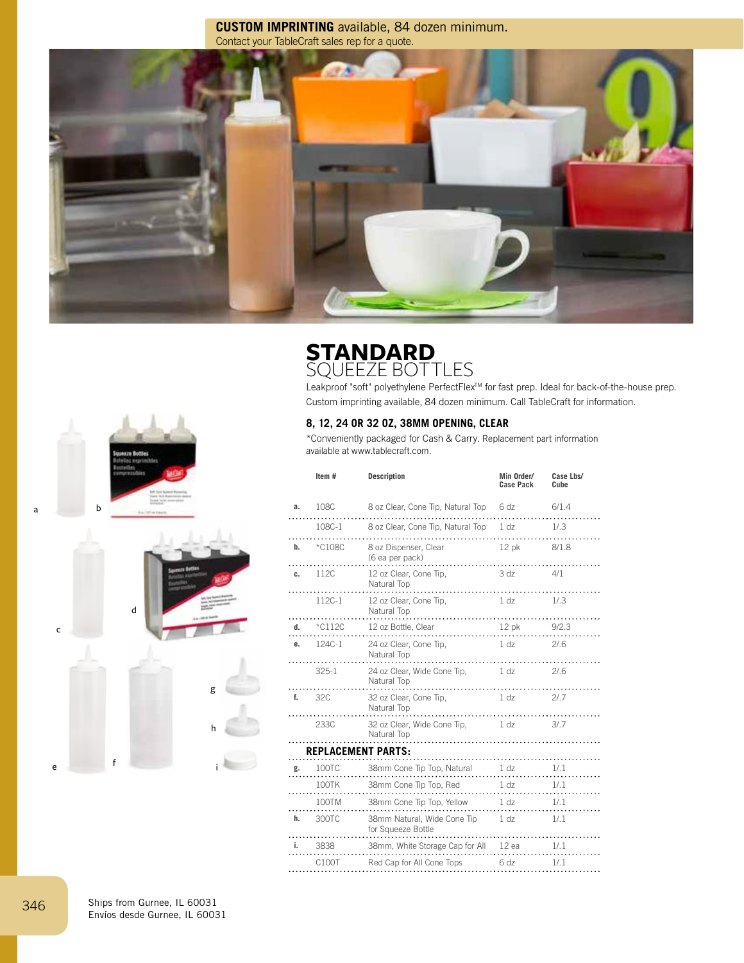**CUSTOM IMPRINTING** available, 84 dozen minimum. Contact your TableCraft sales rep for a quote.



## **STANDARD**  SQUEEZE BOTTLES

Leakproof "soft" polyethylene PerfectFlex™ for fast prep. Ideal for back-of-the-house prep. Custom imprinting available, 84 dozen minimum. Call TableCraft for information.

## **8, 12, 24 OR 32 OZ, 38MM OPENING, CLEAR**

\*Conveniently packaged for Cash & Carry. Replacement part information available at www.tablecraft.com.

|                                | Item#               | <b>Description</b>                                     | Min Order/<br>Case Pack | Case Lbs/<br>Cube |  |  |
|--------------------------------|---------------------|--------------------------------------------------------|-------------------------|-------------------|--|--|
| a.                             | 108C                | 8 oz Clear, Cone Tip, Natural Top                      | 6 dz                    | 6/1.4             |  |  |
|                                | 108C-1              | 8 oz Clear, Cone Tip, Natural Top 1 dz                 |                         | 1/.3              |  |  |
| b.                             | *C108C              | 8 oz Dispenser, Clear<br>(6 ea per pack)               | 12 pk                   | 8/1.8             |  |  |
| c.                             | 112C<br>.           | 12 oz Clear, Cone Tip,<br>Natural Top                  | 3 dz                    | 4/1               |  |  |
|                                | $112C-1$            | 12 oz Clear, Cone Tip,<br>Natural Top                  | 1 <sub>dz</sub>         | 1/3               |  |  |
|                                | <b>d.</b> $*$ C112C | 12 oz Bottle, Clear                                    | 12 pk 9/2.3             |                   |  |  |
| e.                             | 124C-1              | 24 oz Clear, Cone Tip,<br>Natural Top                  | 1 dz                    | 2/0.6             |  |  |
|                                | $325-1$             | 24 oz Clear, Wide Cone Tip, 1 dz<br>Natural Top        |                         | 21.6              |  |  |
| f.                             | 32C                 | 32 oz Clear, Cone Tip,<br>Natural Top                  | 1 <sub>dz</sub>         | 21.7              |  |  |
|                                | 233C                | 32 oz Clear, Wide Cone Tip,<br>Natural Top             | 1 dz                    | 3/7               |  |  |
| <b>REPLACEMENT PARTS:</b><br>. |                     |                                                        |                         |                   |  |  |
| g.                             | 100TC               |                                                        |                         | 1/1               |  |  |
|                                | 100TK               | $38$ mm Cone Tip Top, Red $1 dx$                       |                         | 1/1               |  |  |
|                                | 100TM               | 38mm Cone Tip Top, Yellow 1 dz                         |                         | 1/.1              |  |  |
|                                | <b>h.</b> 300TC     | 38mm Natural, Wide Cone Tip 1 dz<br>for Squeeze Bottle |                         | 1/1               |  |  |
| i.                             | 3838                | 38mm, White Storage Cap for All 12 ea                  |                         | 1/1               |  |  |
|                                | C100T               | Red Cap for All Cone Tops                              | 6 dz                    | 1/1               |  |  |